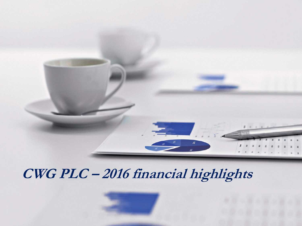

# **CWG PLC – 2016 financial highlights**

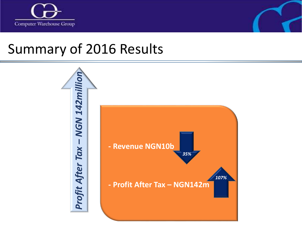



## Summary of 2016 Results

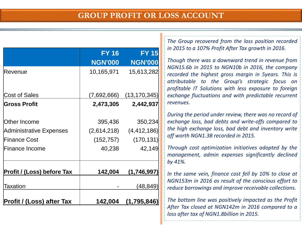#### **GROUP PROFIT OR LOSS ACCOUNT**

|                                  | <b>FY 16</b>   | <b>FY 15</b>   |  |
|----------------------------------|----------------|----------------|--|
|                                  | <b>NGN'000</b> | <b>NGN'000</b> |  |
| Revenue                          | 10,165,971     | 15,613,282     |  |
|                                  |                |                |  |
| <b>Cost of Sales</b>             | (7,692,666)    | (13, 170, 345) |  |
| <b>Gross Profit</b>              | 2,473,305      | 2,442,937      |  |
|                                  |                |                |  |
| <b>Other Income</b>              | 395,436        | 350,234        |  |
| <b>Administrative Expenses</b>   | (2,614,218)    | (4, 412, 186)  |  |
| <b>Finance Cost</b>              | (152, 757)     | (170, 131)     |  |
| <b>Finance Income</b>            | 40,238         | 42,149         |  |
|                                  |                |                |  |
| Profit / (Loss) before Tax       | 142,004        | (1,746,997)    |  |
|                                  |                |                |  |
| Taxation                         |                | (48, 849)      |  |
| <b>Profit / (Loss) after Tax</b> | 142,004        | (1,795,846)    |  |

*The Group recovered from the loss position recorded in 2015 to a 107% Profit After Tax growth in 2016.*

*Though there was a downward trend in revenue from NGN15.6b in 2015 to NGN10b in 2016, the company recorded the highest gross margin in 5years. This is attributable to the Group's strategic focus on profitable IT Solutions with less exposure to foreign exchange fluctuations and with predictable recurrent revenues.*

*During the period under review, there was no record of exchange loss, bad debts and write-offs compared to the high exchange loss, bad debt and inventory write off worth NGN1.3B recorded in 2015.*

*Through cost optimization initiatives adopted by the management, admin expenses significantly declined by 41%.*

*In the same vein, finance cost fell by 10% to close at NGN153m in 2016 as result of the conscious effort to reduce borrowings and improve receivable collections.*

*The bottom line was positively impacted as the Profit After Tax closed at NGN142m in 2016 compared to a loss after tax of NGN1.8billion in 2015.*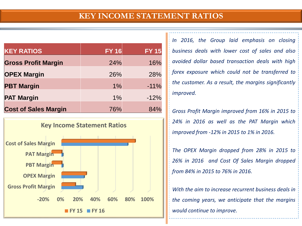#### **KEY INCOME STATEMENT RATIOS**

| <b>KEY RATIOS</b>           | <b>FY 16</b> | <b>FY 15</b> |
|-----------------------------|--------------|--------------|
| <b>Gross Profit Margin</b>  | 24%          | 16%          |
| <b>OPEX Margin</b>          | 26%          | 28%          |
| <b>PBT Margin</b>           | $1\%$        | $-11%$       |
| <b>PAT Margin</b>           | 1%           | $-12%$       |
| <b>Cost of Sales Margin</b> | 76%          | 84%          |



*In 2016, the Group laid emphasis on closing business deals with lower cost of sales and also avoided dollar based transaction deals with high forex exposure which could not be transferred to the customer. As a result, the margins significantly improved.*

*Gross Profit Margin improved from 16% in 2015 to 24% in 2016 as well as the PAT Margin which improved from -12% in 2015 to 1% in 2016.*

*The OPEX Margin dropped from 28% in 2015 to 26% in 2016 and Cost Of Sales Margin dropped from 84% in 2015 to 76% in 2016.*

*With the aim to increase recurrent business deals in the coming years, we anticipate that the margins would continue to improve.*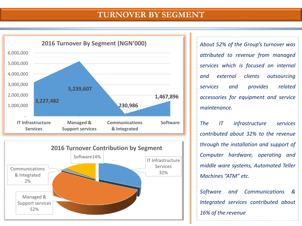#### **TURNOVER BY SEGMENT**





*About 52% of the Group's turnover was attributed to revenue from managed services which is focused on internal and external clients outsourcing services and provides related accessories for equipment and service maintenance.*

*The IT infrastructure services contributed about 32% to the revenue through the installation and support of Computer hardware, operating and middle ware systems, Automated Teller Machines "ATM" etc.*

*Software and Communications & Integrated services contributed about 16% of the revenue*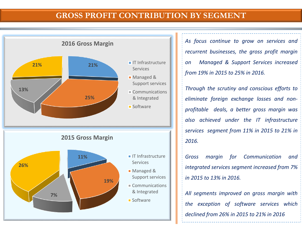#### **GROSS PROFIT CONTRIBUTION BY SEGMENT**



*As focus continue to grow on services and recurrent businesses, the gross profit margin on Managed & Support Services increased from 19% in 2015 to 25% in 2016.*

*Through the scrutiny and conscious efforts to eliminate foreign exchange losses and nonprofitable deals, a better gross margin was also achieved under the IT infrastructure services segment from 11% in 2015 to 21% in 2016.*

*Gross margin for Communication and integrated services segment increased from 7% in 2015 to 13% in 2016.*

*All segments improved on gross margin with the exception of software services which declined from 26% in 2015 to 21% in 2016*